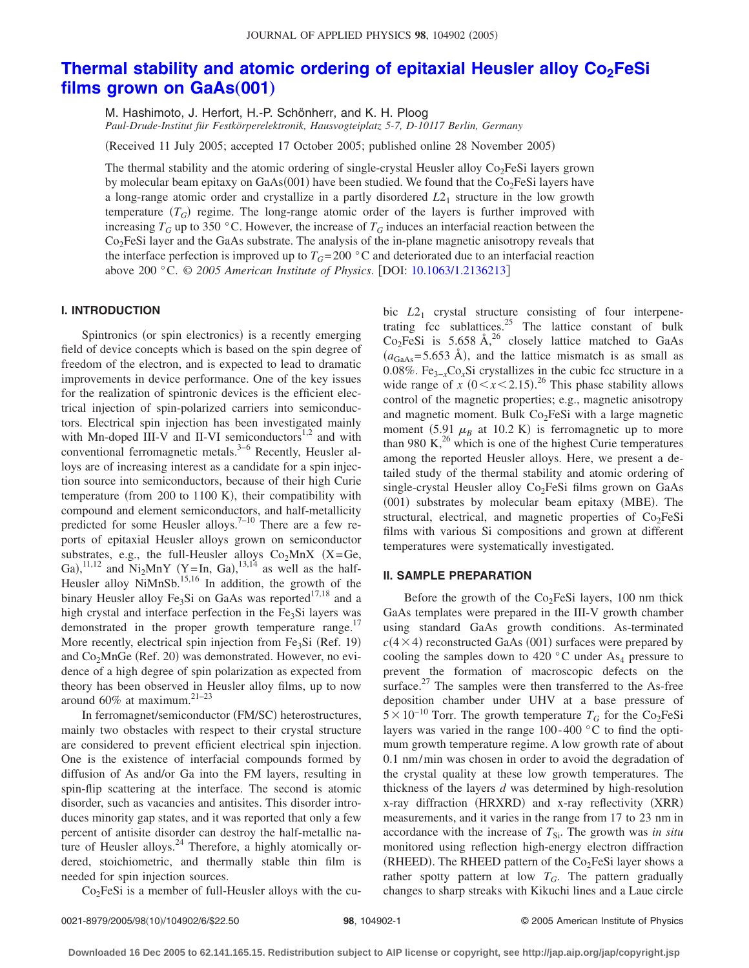# **Thermal stability and atomic ordering of epitaxial Heusler alloy Co<sub>2</sub>FeSi** [films grown on GaAs](http://dx.doi.org/10.1063/1.2136213)(001)

M. Hashimoto, J. Herfort, H.-P. Schönherr, and K. H. Ploog *Paul-Drude-Institut für Festkörperelektronik, Hausvogteiplatz 5-7, D-10117 Berlin, Germany*

Received 11 July 2005; accepted 17 October 2005; published online 28 November 2005-

The thermal stability and the atomic ordering of single-crystal Heusler alloy  $Co<sub>2</sub>FeSi$  layers grown by molecular beam epitaxy on GaAs(001) have been studied. We found that the  $Co<sub>2</sub>FeSi$  layers have a long-range atomic order and crystallize in a partly disordered  $L_1$  structure in the low growth temperature  $(T_G)$  regime. The long-range atomic order of the layers is further improved with increasing  $T_G$  up to 350 °C. However, the increase of  $T_G$  induces an interfacial reaction between the  $Co<sub>2</sub>FeSi$  layer and the GaAs substrate. The analysis of the in-plane magnetic anisotropy reveals that the interface perfection is improved up to  $T_G = 200$  °C and deteriorated due to an interfacial reaction above 200 °C. © *2005 American Institute of Physics*. DOI: [10.1063/1.2136213](http://dx.doi.org/10.1063/1.2136213)

# **I. INTRODUCTION**

Spintronics (or spin electronics) is a recently emerging field of device concepts which is based on the spin degree of freedom of the electron, and is expected to lead to dramatic improvements in device performance. One of the key issues for the realization of spintronic devices is the efficient electrical injection of spin-polarized carriers into semiconductors. Electrical spin injection has been investigated mainly with Mn-doped III-V and II-VI semiconductors $1,2$  and with conventional ferromagnetic metals.<sup>3–6</sup> Recently, Heusler alloys are of increasing interest as a candidate for a spin injection source into semiconductors, because of their high Curie temperature (from 200 to 1100 K), their compatibility with compound and element semiconductors, and half-metallicity predicted for some Heusler alloys.<sup>7–10</sup> There are a few reports of epitaxial Heusler alloys grown on semiconductor substrates, e.g., the full-Heusler alloys  $Co<sub>2</sub>MnX$  (X=Ge, Ga), <sup>11,12</sup> and Ni<sub>2</sub>MnY (Y=In, Ga), <sup>13,14</sup> as well as the half-Heusler alloy NiMnSb.<sup>15,16</sup> In addition, the growth of the binary Heusler alloy Fe<sub>3</sub>Si on GaAs was reported<sup>17,18</sup> and a high crystal and interface perfection in the  $Fe<sub>3</sub>Si$  layers was demonstrated in the proper growth temperature range.<sup>17</sup> More recently, electrical spin injection from Fe<sub>3</sub>Si (Ref. 19) and Co<sub>2</sub>MnGe (Ref. 20) was demonstrated. However, no evidence of a high degree of spin polarization as expected from theory has been observed in Heusler alloy films, up to now around  $60\%$  at maximum.<sup>21-23</sup>

In ferromagnet/semiconductor (FM/SC) heterostructures, mainly two obstacles with respect to their crystal structure are considered to prevent efficient electrical spin injection. One is the existence of interfacial compounds formed by diffusion of As and/or Ga into the FM layers, resulting in spin-flip scattering at the interface. The second is atomic disorder, such as vacancies and antisites. This disorder introduces minority gap states, and it was reported that only a few percent of antisite disorder can destroy the half-metallic nature of Heusler alloys.<sup>24</sup> Therefore, a highly atomically ordered, stoichiometric, and thermally stable thin film is needed for spin injection sources.

 $Co<sub>2</sub>FeSi$  is a member of full-Heusler alloys with the cu-

bic  $L2_1$  crystal structure consisting of four interpenetrating fcc sublattices.<sup>25</sup> The lattice constant of bulk  $Co<sub>2</sub>FeSi$  is 5.658 Å,<sup>26</sup> closely lattice matched to GaAs  $(a_{\text{GaAs}} = 5.653 \text{ Å})$ , and the lattice mismatch is as small as 0.08%. Fe3−*x*Co*x*Si crystallizes in the cubic fcc structure in a wide range of *x*  $(0 < x < 2.15).^{26}$  This phase stability allows control of the magnetic properties; e.g., magnetic anisotropy and magnetic moment. Bulk  $Co<sub>2</sub>FeSi$  with a large magnetic moment  $(5.91 \mu_B$  at 10.2 K) is ferromagnetic up to more than 980 K, $^{26}$  which is one of the highest Curie temperatures among the reported Heusler alloys. Here, we present a detailed study of the thermal stability and atomic ordering of single-crystal Heusler alloy  $Co<sub>2</sub>FeSi$  films grown on GaAs (001) substrates by molecular beam epitaxy (MBE). The structural, electrical, and magnetic properties of  $Co<sub>2</sub>FeSi$ films with various Si compositions and grown at different temperatures were systematically investigated.

### **II. SAMPLE PREPARATION**

Before the growth of the  $Co<sub>2</sub>FeSi$  layers, 100 nm thick GaAs templates were prepared in the III-V growth chamber using standard GaAs growth conditions. As-terminated  $c(4 \times 4)$  reconstructed GaAs (001) surfaces were prepared by cooling the samples down to 420  $\degree$ C under As<sub>4</sub> pressure to prevent the formation of macroscopic defects on the surface. $27$  The samples were then transferred to the As-free deposition chamber under UHV at a base pressure of  $5 \times 10^{-10}$  Torr. The growth temperature  $T_G$  for the Co<sub>2</sub>FeSi layers was varied in the range 100-400 °C to find the optimum growth temperature regime. A low growth rate of about 0.1 nm/min was chosen in order to avoid the degradation of the crystal quality at these low growth temperatures. The thickness of the layers *d* was determined by high-resolution x-ray diffraction (HRXRD) and x-ray reflectivity (XRR) measurements, and it varies in the range from 17 to 23 nm in accordance with the increase of  $T_{Si}$ . The growth was *in situ* monitored using reflection high-energy electron diffraction (RHEED). The RHEED pattern of the  $Co<sub>2</sub>FeSi$  layer shows a rather spotty pattern at low  $T_G$ . The pattern gradually changes to sharp streaks with Kikuchi lines and a Laue circle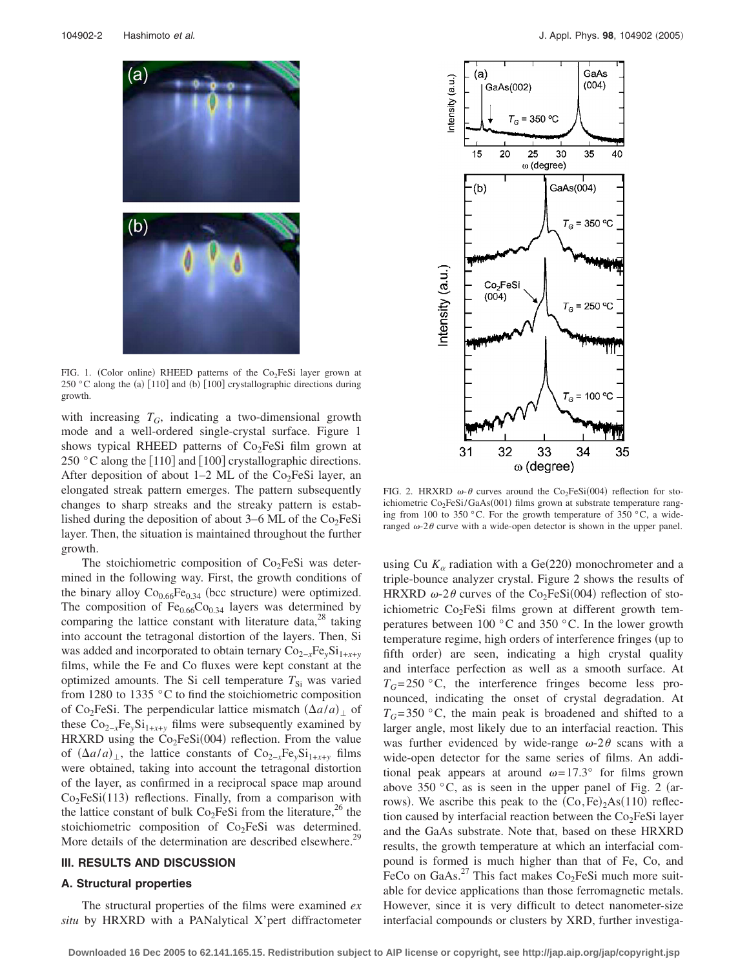

FIG. 1. (Color online) RHEED patterns of the Co<sub>2</sub>FeSi layer grown at 250 °C along the (a)  $[110]$  and (b)  $[100]$  crystallographic directions during growth.

with increasing  $T_G$ , indicating a two-dimensional growth mode and a well-ordered single-crystal surface. Figure 1 shows typical RHEED patterns of  $Co<sub>2</sub>FeSi$  film grown at 250  $\degree$ C along the [110] and [100] crystallographic directions. After deposition of about  $1-2$  ML of the Co<sub>2</sub>FeSi layer, an elongated streak pattern emerges. The pattern subsequently changes to sharp streaks and the streaky pattern is established during the deposition of about 3–6 ML of the  $Co<sub>2</sub>FeSi$ layer. Then, the situation is maintained throughout the further growth.

The stoichiometric composition of  $Co<sub>2</sub>FeSi$  was determined in the following way. First, the growth conditions of the binary alloy  $Co_{0.66}Fe_{0.34}$  (bcc structure) were optimized. The composition of  $Fe<sub>0.66</sub>Co<sub>0.34</sub>$  layers was determined by comparing the lattice constant with literature data, $^{28}$  taking into account the tetragonal distortion of the layers. Then, Si was added and incorporated to obtain ternary Co<sub>2−*x*</sub>Fe<sub>*γ*</sub>Si<sub>1+*x*+*y*</sub> films, while the Fe and Co fluxes were kept constant at the optimized amounts. The Si cell temperature  $T_{\rm Si}$  was varied from 1280 to 1335 °C to find the stoichiometric composition of Co<sub>2</sub>FeSi. The perpendicular lattice mismatch  $(\Delta a/a)_{\perp}$  of these  $Co_{2-x}Fe_ySi_{1+x+y}$  films were subsequently examined by HRXRD using the  $Co<sub>2</sub>FeSi(004)$  reflection. From the value of  $(\Delta a/a)_{\perp}$ , the lattice constants of Co<sub>2−*x*</sub>Fe<sub>*y*</sub>Si<sub>1+*x*+*y*</sub> films were obtained, taking into account the tetragonal distortion of the layer, as confirmed in a reciprocal space map around  $Co<sub>2</sub>FeSi(113)$  reflections. Finally, from a comparison with the lattice constant of bulk  $Co<sub>2</sub>FeSi$  from the literature,<sup>26</sup> the stoichiometric composition of Co<sub>2</sub>FeSi was determined. More details of the determination are described elsewhere.<sup>29</sup>

# **III. RESULTS AND DISCUSSION**

# **A. Structural properties**

The structural properties of the films were examined *ex situ* by HRXRD with a PANalytical X'pert diffractometer



FIG. 2. HRXRD  $\omega$ - $\theta$  curves around the Co<sub>2</sub>FeSi(004) reflection for stoichiometric Co<sub>2</sub>FeSi/GaAs(001) films grown at substrate temperature ranging from 100 to 350 °C. For the growth temperature of 350 °C, a wideranged  $\omega$ -2 $\theta$  curve with a wide-open detector is shown in the upper panel.

using Cu  $K_{\alpha}$  radiation with a Ge(220) monochrometer and a triple-bounce analyzer crystal. Figure 2 shows the results of HRXRD  $\omega$ -2 $\theta$  curves of the Co<sub>2</sub>FeSi(004) reflection of stoichiometric  $Co<sub>2</sub>FeSi$  films grown at different growth temperatures between 100 °C and 350 °C. In the lower growth temperature regime, high orders of interference fringes (up to fifth order) are seen, indicating a high crystal quality and interface perfection as well as a smooth surface. At  $T_G = 250$  °C, the interference fringes become less pronounced, indicating the onset of crystal degradation. At  $T<sub>G</sub>=350$  °C, the main peak is broadened and shifted to a larger angle, most likely due to an interfacial reaction. This was further evidenced by wide-range  $\omega$ -2 $\theta$  scans with a wide-open detector for the same series of films. An additional peak appears at around  $\omega = 17.3^\circ$  for films grown above 350  $\degree$ C, as is seen in the upper panel of Fig. 2 (arrows). We ascribe this peak to the  $(Co, Fe)_2As(110)$  reflection caused by interfacial reaction between the  $Co<sub>2</sub>FeSi$  layer and the GaAs substrate. Note that, based on these HRXRD results, the growth temperature at which an interfacial compound is formed is much higher than that of Fe, Co, and FeCo on GaAs.<sup>27</sup> This fact makes  $Co<sub>2</sub>FeSi$  much more suitable for device applications than those ferromagnetic metals. However, since it is very difficult to detect nanometer-size interfacial compounds or clusters by XRD, further investiga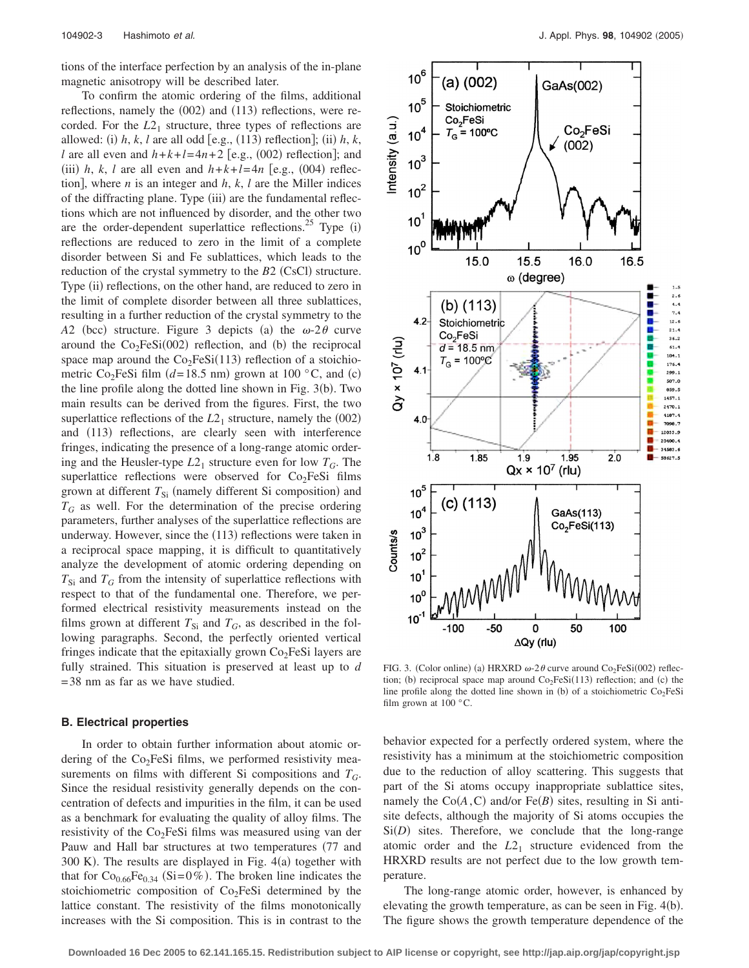tions of the interface perfection by an analysis of the in-plane magnetic anisotropy will be described later.

To confirm the atomic ordering of the films, additional reflections, namely the (002) and (113) reflections, were recorded. For the  $L2<sub>1</sub>$  structure, three types of reflections are allowed: (i)  $h, k, l$  are all odd [e.g., (113) reflection]; (ii)  $h, k$ , *l* are all even and  $h+k+l=4n+2$  [e.g., (002) reflection]; and (iii) *h*, *k*, *l* are all even and  $h+k+l=4n$  [e.g., (004) reflection, where *n* is an integer and  $h$ ,  $k$ ,  $l$  are the Miller indices of the diffracting plane. Type (iii) are the fundamental reflections which are not influenced by disorder, and the other two are the order-dependent superlattice reflections.<sup>25</sup> Type  $(i)$ reflections are reduced to zero in the limit of a complete disorder between Si and Fe sublattices, which leads to the reduction of the crystal symmetry to the  $B2$  (CsCl) structure. Type (ii) reflections, on the other hand, are reduced to zero in the limit of complete disorder between all three sublattices, resulting in a further reduction of the crystal symmetry to the A2 (bcc) structure. Figure 3 depicts (a) the  $\omega$ -2 $\theta$  curve around the  $Co<sub>2</sub>FeSi(002)$  reflection, and (b) the reciprocal space map around the  $Co<sub>2</sub>FeSi(113)$  reflection of a stoichiometric Co<sub>2</sub>FeSi film ( $d=18.5$  nm) grown at 100 °C, and (c) the line profile along the dotted line shown in Fig. 3(b). Two main results can be derived from the figures. First, the two superlattice reflections of the  $L2<sub>1</sub>$  structure, namely the  $(002)$ and (113) reflections, are clearly seen with interference fringes, indicating the presence of a long-range atomic ordering and the Heusler-type  $L2_1$  structure even for low  $T_G$ . The superlattice reflections were observed for  $Co<sub>2</sub>FeSi$  films grown at different T<sub>Si</sub> (namely different Si composition) and  $T_G$  as well. For the determination of the precise ordering parameters, further analyses of the superlattice reflections are underway. However, since the (113) reflections were taken in a reciprocal space mapping, it is difficult to quantitatively analyze the development of atomic ordering depending on  $T_{\rm Si}$  and  $T_G$  from the intensity of superlattice reflections with respect to that of the fundamental one. Therefore, we performed electrical resistivity measurements instead on the films grown at different  $T_{Si}$  and  $T_G$ , as described in the following paragraphs. Second, the perfectly oriented vertical fringes indicate that the epitaxially grown  $Co<sub>2</sub>FeSi$  layers are fully strained. This situation is preserved at least up to *d* =38 nm as far as we have studied.

## **B. Electrical properties**

In order to obtain further information about atomic ordering of the  $Co<sub>2</sub>FeSi$  films, we performed resistivity measurements on films with different Si compositions and *TG*. Since the residual resistivity generally depends on the concentration of defects and impurities in the film, it can be used as a benchmark for evaluating the quality of alloy films. The resistivity of the  $Co<sub>2</sub>FeSi$  films was measured using van der Pauw and Hall bar structures at two temperatures (77 and  $300$  K). The results are displayed in Fig.  $4(a)$  together with that for  $Co_{0.66}Fe_{0.34}$  (Si=0%). The broken line indicates the stoichiometric composition of  $Co<sub>2</sub>FeSi$  determined by the lattice constant. The resistivity of the films monotonically increases with the Si composition. This is in contrast to the



FIG. 3. (Color online) (a) HRXRD  $\omega$ -2 $\theta$  curve around Co<sub>2</sub>FeSi(002) reflection; (b) reciprocal space map around  $Co<sub>2</sub>FeSi(113)$  reflection; and (c) the line profile along the dotted line shown in (b) of a stoichiometric  $Co<sub>2</sub>FeSi$ film grown at  $100^{\circ}$ C.

behavior expected for a perfectly ordered system, where the resistivity has a minimum at the stoichiometric composition due to the reduction of alloy scattering. This suggests that part of the Si atoms occupy inappropriate sublattice sites, namely the  $Co(A, C)$  and/or Fe $(B)$  sites, resulting in Si antisite defects, although the majority of Si atoms occupies the  $Si(D)$  sites. Therefore, we conclude that the long-range atomic order and the  $L2<sub>1</sub>$  structure evidenced from the HRXRD results are not perfect due to the low growth temperature.

The long-range atomic order, however, is enhanced by elevating the growth temperature, as can be seen in Fig.  $4(b)$ . The figure shows the growth temperature dependence of the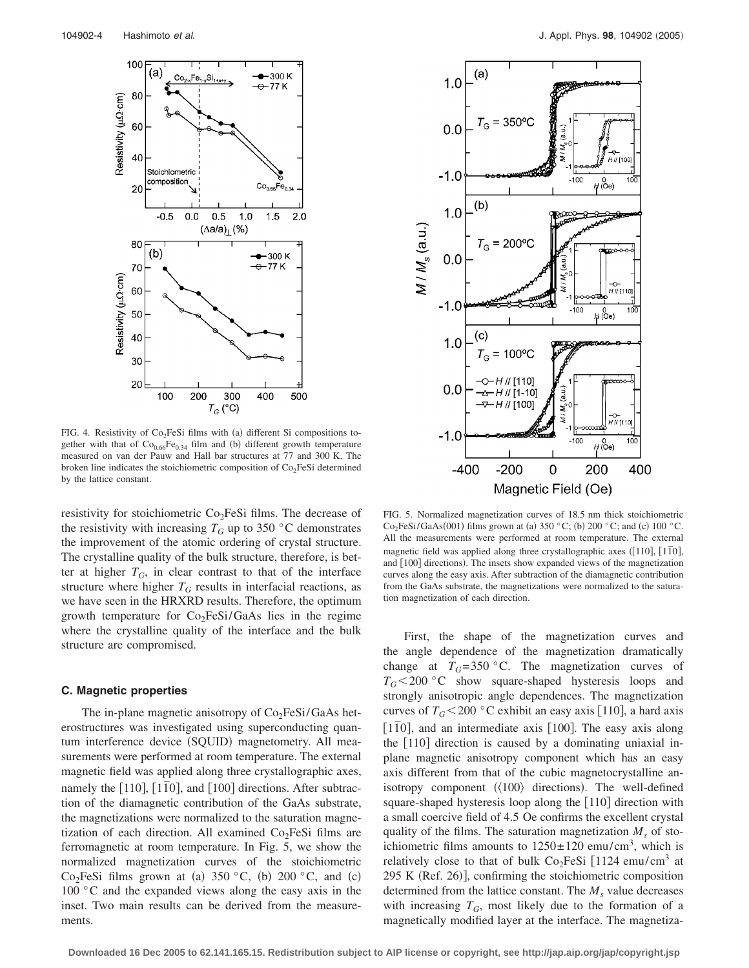

FIG. 4. Resistivity of Co<sub>2</sub>FeSi films with (a) different Si compositions together with that of  $Co<sub>0.66</sub>Fe<sub>0.34</sub>$  film and (b) different growth temperature measured on van der Pauw and Hall bar structures at 77 and 300 K. The broken line indicates the stoichiometric composition of  $Co<sub>2</sub>FeSi$  determined by the lattice constant.

resistivity for stoichiometric  $Co<sub>2</sub>FeSi$  films. The decrease of the resistivity with increasing  $T_G$  up to 350 °C demonstrates the improvement of the atomic ordering of crystal structure. The crystalline quality of the bulk structure, therefore, is better at higher  $T_G$ , in clear contrast to that of the interface structure where higher  $T_G$  results in interfacial reactions, as we have seen in the HRXRD results. Therefore, the optimum growth temperature for  $Co<sub>2</sub>FeSi/GaAs$  lies in the regime where the crystalline quality of the interface and the bulk structure are compromised.

## **C. Magnetic properties**

The in-plane magnetic anisotropy of  $Co<sub>2</sub>FeSi/GaAs$  heterostructures was investigated using superconducting quantum interference device (SQUID) magnetometry. All measurements were performed at room temperature. The external magnetic field was applied along three crystallographic axes, namely the  $[110]$ ,  $[1\overline{1}0]$ , and  $[100]$  directions. After subtraction of the diamagnetic contribution of the GaAs substrate, the magnetizations were normalized to the saturation magnetization of each direction. All examined  $Co<sub>2</sub>FeSi$  films are ferromagnetic at room temperature. In Fig. 5, we show the normalized magnetization curves of the stoichiometric  $Co<sub>2</sub>FeSi$  films grown at (a) 350 °C, (b) 200 °C, and (c) 100 °C and the expanded views along the easy axis in the inset. Two main results can be derived from the measurements.



FIG. 5. Normalized magnetization curves of 18.5 nm thick stoichiometric  $Co<sub>2</sub>FeSi/GaAs(001) films grown at (a) 350 °C; (b) 200 °C; and (c) 100 °C.$ All the measurements were performed at room temperature. The external magnetic field was applied along three crystallographic axes  $(110)$ ,  $[1\overline{1}0]$ , and [100] directions). The insets show expanded views of the magnetization curves along the easy axis. After subtraction of the diamagnetic contribution from the GaAs substrate, the magnetizations were normalized to the saturation magnetization of each direction.

First, the shape of the magnetization curves and the angle dependence of the magnetization dramatically change at  $T_G = 350$  °C. The magnetization curves of  $T_G$ <200 °C show square-shaped hysteresis loops and strongly anisotropic angle dependences. The magnetization curves of  $T_G$ <200 °C exhibit an easy axis [110], a hard axis [110], and an intermediate axis [100]. The easy axis along the  $[110]$  direction is caused by a dominating uniaxial inplane magnetic anisotropy component which has an easy axis different from that of the cubic magnetocrystalline anisotropy component  $(\langle 100 \rangle)$  directions). The well-defined square-shaped hysteresis loop along the  $[110]$  direction with a small coercive field of 4.5 Oe confirms the excellent crystal quality of the films. The saturation magnetization  $M_s$  of stoichiometric films amounts to  $1250 \pm 120$  emu/cm<sup>3</sup>, which is relatively close to that of bulk  $Co<sub>2</sub>FeSi$  [1124 emu/cm<sup>3</sup> at 295 K (Ref. 26)], confirming the stoichiometric composition determined from the lattice constant. The  $M<sub>s</sub>$  value decreases with increasing  $T_G$ , most likely due to the formation of a magnetically modified layer at the interface. The magnetiza-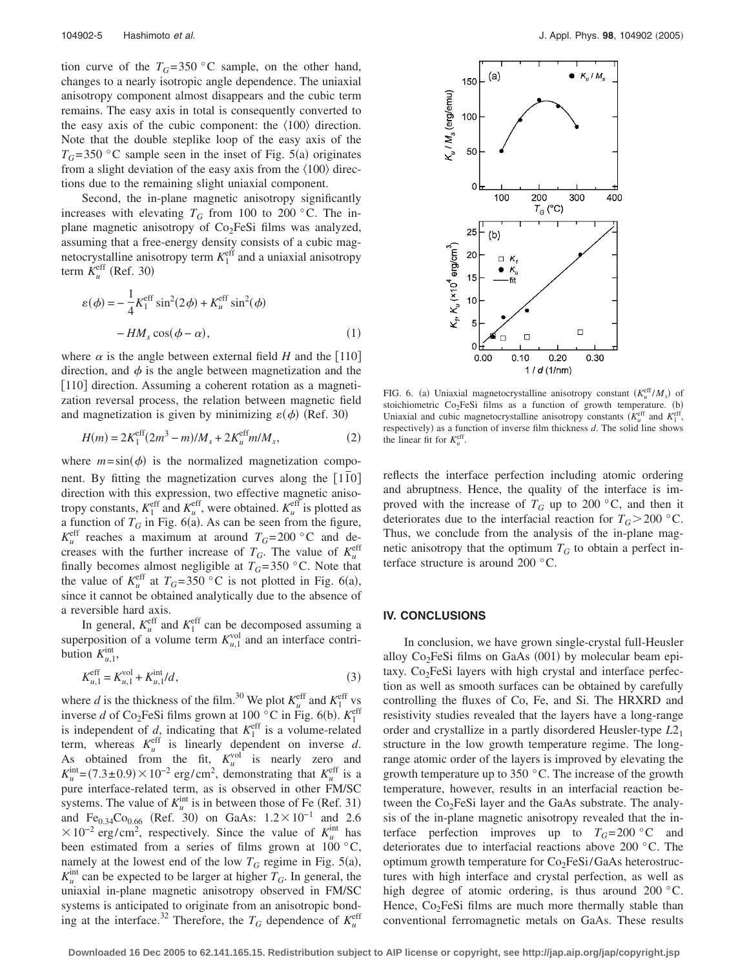tion curve of the  $T_G = 350$  °C sample, on the other hand, changes to a nearly isotropic angle dependence. The uniaxial anisotropy component almost disappears and the cubic term remains. The easy axis in total is consequently converted to the easy axis of the cubic component: the  $\langle 100 \rangle$  direction. Note that the double steplike loop of the easy axis of the  $T_G$ =350 °C sample seen in the inset of Fig. 5(a) originates from a slight deviation of the easy axis from the  $\langle 100 \rangle$  directions due to the remaining slight uniaxial component.

Second, the in-plane magnetic anisotropy significantly increases with elevating  $T_G$  from 100 to 200 °C. The inplane magnetic anisotropy of  $Co<sub>2</sub>FeSi$  films was analyzed, assuming that a free-energy density consists of a cubic magnetocrystalline anisotropy term  $K_1^{\text{eff}}$  and a uniaxial anisotropy term  $K_u^{\text{eff}}$  (Ref. 30)

$$
\varepsilon(\phi) = -\frac{1}{4} K_1^{\text{eff}} \sin^2(2\phi) + K_u^{\text{eff}} \sin^2(\phi)
$$

$$
- H M_s \cos(\phi - \alpha), \qquad (1)
$$

where  $\alpha$  is the angle between external field *H* and the [110] direction, and  $\phi$  is the angle between magnetization and the [110] direction. Assuming a coherent rotation as a magnetization reversal process, the relation between magnetic field and magnetization is given by minimizing  $\varepsilon(\phi)$  (Ref. 30)

$$
H(m) = 2K_1^{\text{eff}}(2m^3 - m)/M_s + 2K_u^{\text{eff}}m/M_s,
$$
 (2)

where  $m = \sin(\phi)$  is the normalized magnetization component. By fitting the magnetization curves along the [110] direction with this expression, two effective magnetic anisotropy constants,  $K_1^{\text{eff}}$  and  $K_u^{\text{eff}}$ , were obtained.  $K_u^{\text{eff}}$  is plotted as a function of  $T_G$  in Fig. 6(a). As can be seen from the figure,  $K_u^{\text{eff}}$  reaches a maximum at around  $T_G = 200 \degree \text{C}$  and decreases with the further increase of  $T_G$ . The value of  $K_u^{\text{eff}}$ finally becomes almost negligible at  $T_G = 350$  °C. Note that the value of  $K_u^{\text{eff}}$  at  $T_G = 350 \degree \text{C}$  is not plotted in Fig. 6(a), since it cannot be obtained analytically due to the absence of a reversible hard axis.

In general,  $K_u^{\text{eff}}$  and  $K_1^{\text{eff}}$  can be decomposed assuming a superposition of a volume term  $K_{u,1}^{\text{vol}}$  and an interface contribution  $K_{u,1}^{\text{int}},$ 

$$
K_{u,1}^{\text{eff}} = K_{u,1}^{\text{vol}} + K_{u,1}^{\text{int}} / d,\tag{3}
$$

where *d* is the thickness of the film.<sup>30</sup> We plot  $K_u^{\text{eff}}$  and  $K_1^{\text{eff}}$  vs inverse *d* of Co<sub>2</sub>FeSi films grown at 100 °C in Fig. 6(b).  $K_1^{\text{eff}}$ is independent of  $d_1$ , indicating that  $K_1^{\text{eff}}$  is a volume-related term, whereas  $K_u^{\text{eff}}$  is linearly dependent on inverse *d*. As obtained from the fit,  $K_u^{\text{vol}}$  is nearly zero and  $K_u^{\text{int}} = (7.3 \pm 0.9) \times 10^{-2} \text{ erg/cm}^2$ , demonstrating that  $K_u^{\text{eff}}$  is a pure interface-related term, as is observed in other FM/SC systems. The value of  $K_u^{\text{int}}$  is in between those of Fe (Ref. 31) and Fe<sub>0.34</sub>Co<sub>0.66</sub> (Ref. 30) on GaAs:  $1.2 \times 10^{-1}$  and 2.6  $\times 10^{-2}$  erg/cm<sup>2</sup>, respectively. Since the value of  $K_u^{\text{int}}$  has been estimated from a series of films grown at 100 °C, namely at the lowest end of the low  $T_G$  regime in Fig. 5(a),  $K_u^{\text{int}}$  can be expected to be larger at higher  $T_G$ . In general, the uniaxial in-plane magnetic anisotropy observed in FM/SC systems is anticipated to originate from an anisotropic bonding at the interface.<sup>32</sup> Therefore, the  $T_G$  dependence of  $K_u^{\text{eff}}$ 



FIG. 6. (a) Uniaxial magnetocrystalline anisotropy constant  $(K_u^{\text{eff}}/M_s)$  of stoichiometric  $Co<sub>2</sub>FeSi$  films as a function of growth temperature. (b) Uniaxial and cubic magnetocrystalline anisotropy constants  $(K_u^{\text{eff}}$  and  $K_l^{\text{eff}}$ , respectively) as a function of inverse film thickness *d*. The solid line shows the linear fit for  $K_u^{\text{eff}}$ .

reflects the interface perfection including atomic ordering and abruptness. Hence, the quality of the interface is improved with the increase of  $T_G$  up to 200 °C, and then it deteriorates due to the interfacial reaction for  $T_G > 200$  °C. Thus, we conclude from the analysis of the in-plane magnetic anisotropy that the optimum  $T_G$  to obtain a perfect interface structure is around 200 °C.

#### **IV. CONCLUSIONS**

In conclusion, we have grown single-crystal full-Heusler alloy Co<sub>2</sub>FeSi films on GaAs (001) by molecular beam epitaxy.  $Co<sub>2</sub>FeSi$  layers with high crystal and interface perfection as well as smooth surfaces can be obtained by carefully controlling the fluxes of Co, Fe, and Si. The HRXRD and resistivity studies revealed that the layers have a long-range order and crystallize in a partly disordered Heusler-type *L*21 structure in the low growth temperature regime. The longrange atomic order of the layers is improved by elevating the growth temperature up to 350 $\degree$ C. The increase of the growth temperature, however, results in an interfacial reaction between the  $Co<sub>2</sub>FeSi$  layer and the GaAs substrate. The analysis of the in-plane magnetic anisotropy revealed that the interface perfection improves up to  $T_G = 200$  °C and deteriorates due to interfacial reactions above 200 °C. The optimum growth temperature for Co<sub>2</sub>FeSi/GaAs heterostructures with high interface and crystal perfection, as well as high degree of atomic ordering, is thus around 200 °C. Hence,  $Co<sub>2</sub>FeSi$  films are much more thermally stable than conventional ferromagnetic metals on GaAs. These results